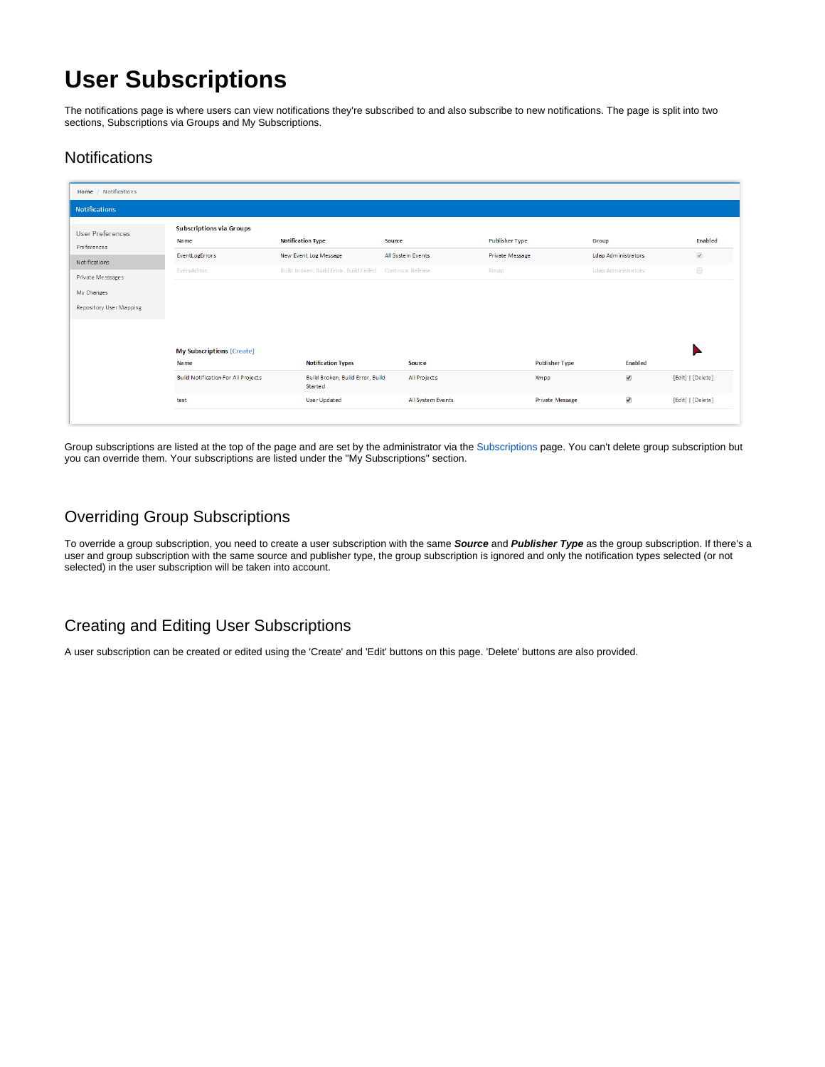# **User Subscriptions**

The notifications page is where users can view notifications they're subscribed to and also subscribe to new notifications. The page is split into two sections, Subscriptions via Groups and My Subscriptions.

## **Notifications**

| Home / Notifications                   |                                                |                                                           |                   |                       |                            |                   |
|----------------------------------------|------------------------------------------------|-----------------------------------------------------------|-------------------|-----------------------|----------------------------|-------------------|
| <b>Notifications</b>                   |                                                |                                                           |                   |                       |                            |                   |
| <b>User Preferences</b><br>Preferences | <b>Subscriptions via Groups</b><br><b>Name</b> | <b>Notification Type</b>                                  | Source            | <b>Publisher Type</b> | Group                      | <b>Enabled</b>    |
| Notifications                          | EventLogErrors                                 | New Event Log Message                                     | All System Events | Private Message       | Ldap Administrators        | $\mathcal{L}$     |
| Private Messsages                      | EveryAdmin                                     | Build Broken, Build Error, Build Failed Continua: Release |                   | <b>Xmpp</b>           | <b>Ldap Administrators</b> | $\Box$            |
| My Changes                             |                                                |                                                           |                   |                       |                            |                   |
| <b>Repository User Mapping</b>         |                                                |                                                           |                   |                       |                            |                   |
|                                        |                                                |                                                           |                   |                       |                            |                   |
|                                        |                                                |                                                           |                   |                       |                            |                   |
|                                        | <b>My Subscriptions [Create]</b>               |                                                           |                   |                       |                            |                   |
|                                        | Na me                                          | <b>Notification Types</b>                                 | Source            | <b>Publisher Type</b> | Enabled                    |                   |
|                                        | <b>Build Notification For All Projects</b>     | Build Broken, Build Error, Build<br><b>Started</b>        | All Projects      | Xmpp                  | $\blacklozenge$            | [Edit]   [Delete] |

Group subscriptions are listed at the top of the page and are set by the administrator via the [Subscriptions](https://wiki.finalbuilder.com/display/continua/Subscriptions) page. You can't delete group subscription but you can override them. Your subscriptions are listed under the "My Subscriptions" section.

# Overriding Group Subscriptions

To override a group subscription, you need to create a user subscription with the same **Source** and **Publisher Type** as the group subscription. If there's a user and group subscription with the same source and publisher type, the group subscription is ignored and only the notification types selected (or not selected) in the user subscription will be taken into account.

# Creating and Editing User Subscriptions

A user subscription can be created or edited using the 'Create' and 'Edit' buttons on this page. 'Delete' buttons are also provided.